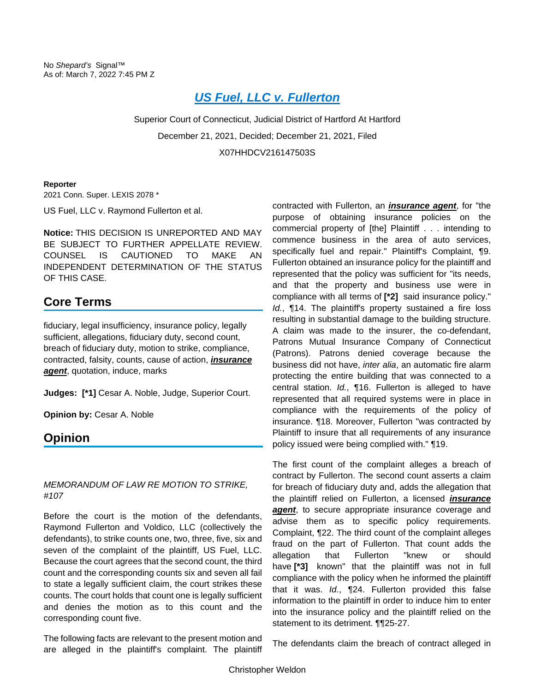# *[US Fuel, LLC v. Fullerton](https://advance.lexis.com/api/document?collection=cases&id=urn:contentItem:64HK-0171-JS0R-236M-00000-00&context=1000516)*

Superior Court of Connecticut, Judicial District of Hartford At Hartford December 21, 2021, Decided; December 21, 2021, Filed X07HHDCV216147503S

#### **Reporter**

2021 Conn. Super. LEXIS 2078 \*

US Fuel, LLC v. Raymond Fullerton et al.

**Notice:** THIS DECISION IS UNREPORTED AND MAY BE SUBJECT TO FURTHER APPELLATE REVIEW. COUNSEL IS CAUTIONED TO MAKE AN INDEPENDENT DETERMINATION OF THE STATUS OF THIS CASE.

## **Core Terms**

fiduciary, legal insufficiency, insurance policy, legally sufficient, allegations, fiduciary duty, second count, breach of fiduciary duty, motion to strike, compliance, contracted, falsity, counts, cause of action, *insurance agent*, quotation, induce, marks

**Judges: [\*1]** Cesar A. Noble, Judge, Superior Court.

**Opinion by:** Cesar A. Noble

### **Opinion**

#### *MEMORANDUM OF LAW RE MOTION TO STRIKE, #107*

Before the court is the motion of the defendants, Raymond Fullerton and Voldico, LLC (collectively the defendants), to strike counts one, two, three, five, six and seven of the complaint of the plaintiff, US Fuel, LLC. Because the court agrees that the second count, the third count and the corresponding counts six and seven all fail to state a legally sufficient claim, the court strikes these counts. The court holds that count one is legally sufficient and denies the motion as to this count and the corresponding count five.

The following facts are relevant to the present motion and are alleged in the plaintiff's complaint. The plaintiff

contracted with Fullerton, an *insurance agent*, for "the purpose of obtaining insurance policies on the commercial property of [the] Plaintiff . . . intending to commence business in the area of auto services, specifically fuel and repair." Plaintiff's Complaint, ¶9. Fullerton obtained an insurance policy for the plaintiff and represented that the policy was sufficient for "its needs, and that the property and business use were in compliance with all terms of **[\*2]** said insurance policy." *Id.*, ¶14. The plaintiff's property sustained a fire loss resulting in substantial damage to the building structure. A claim was made to the insurer, the co-defendant, Patrons Mutual Insurance Company of Connecticut (Patrons). Patrons denied coverage because the business did not have, *inter alia*, an automatic fire alarm protecting the entire building that was connected to a central station. *Id.*, ¶16. Fullerton is alleged to have represented that all required systems were in place in compliance with the requirements of the policy of insurance. ¶18. Moreover, Fullerton "was contracted by Plaintiff to insure that all requirements of any insurance policy issued were being complied with." ¶19.

The first count of the complaint alleges a breach of contract by Fullerton. The second count asserts a claim for breach of fiduciary duty and, adds the allegation that the plaintiff relied on Fullerton, a licensed *insurance*  **agent**, to secure appropriate insurance coverage and advise them as to specific policy requirements. Complaint, ¶22. The third count of the complaint alleges fraud on the part of Fullerton. That count adds the allegation that Fullerton "knew or should have **[\*3]** known" that the plaintiff was not in full compliance with the policy when he informed the plaintiff that it was. *Id.*, ¶24. Fullerton provided this false information to the plaintiff in order to induce him to enter into the insurance policy and the plaintiff relied on the statement to its detriment. ¶¶25-27.

The defendants claim the breach of contract alleged in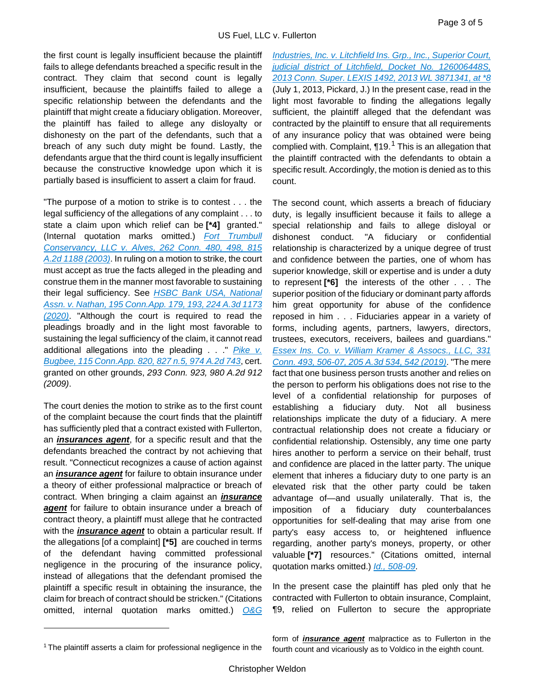the first count is legally insufficient because the plaintiff fails to allege defendants breached a specific result in the contract. They claim that second count is legally insufficient, because the plaintiffs failed to allege a specific relationship between the defendants and the plaintiff that might create a fiduciary obligation. Moreover, the plaintiff has failed to allege any disloyalty or dishonesty on the part of the defendants, such that a breach of any such duty might be found. Lastly, the defendants argue that the third count is legally insufficient because the constructive knowledge upon which it is partially based is insufficient to assert a claim for fraud.

"The purpose of a motion to strike is to contest . . . the legal sufficiency of the allegations of any complaint . . . to state a claim upon which relief can be **[\*4]** granted." (Internal quotation marks omitted.) *[Fort Trumbull](https://advance.lexis.com/api/document?collection=cases&id=urn:contentItem:482G-8G80-0039-4496-00000-00&context=1000516)  [Conservancy, LLC v. Alves, 262 Conn. 480, 498, 815](https://advance.lexis.com/api/document?collection=cases&id=urn:contentItem:482G-8G80-0039-4496-00000-00&context=1000516)  [A.2d 1188 \(2003\)](https://advance.lexis.com/api/document?collection=cases&id=urn:contentItem:482G-8G80-0039-4496-00000-00&context=1000516)*. In ruling on a motion to strike, the court must accept as true the facts alleged in the pleading and construe them in the manner most favorable to sustaining their legal sufficiency. See *[HSBC Bank USA, National](https://advance.lexis.com/api/document?collection=cases&id=urn:contentItem:5XY7-YP61-JGPY-X0DX-00000-00&context=1000516)  [Assn. v. Nathan, 195 Conn.App. 179, 193, 224 A.3d 1173](https://advance.lexis.com/api/document?collection=cases&id=urn:contentItem:5XY7-YP61-JGPY-X0DX-00000-00&context=1000516)  [\(2020\)](https://advance.lexis.com/api/document?collection=cases&id=urn:contentItem:5XY7-YP61-JGPY-X0DX-00000-00&context=1000516)*. "Although the court is required to read the pleadings broadly and in the light most favorable to sustaining the legal sufficiency of the claim, it cannot read additional allegations into the pleading . . ." *[Pike v.](https://advance.lexis.com/api/document?collection=cases&id=urn:contentItem:7WCG-J2Y0-Y9NK-S0GX-00000-00&context=1000516)  [Bugbee, 115 Conn.App. 820, 827 n.5, 974 A.2d 743](https://advance.lexis.com/api/document?collection=cases&id=urn:contentItem:7WCG-J2Y0-Y9NK-S0GX-00000-00&context=1000516)*, cert. granted on other grounds, *293 Conn. 923, 980 A.2d 912 (2009)*.

The court denies the motion to strike as to the first count of the complaint because the court finds that the plaintiff has sufficiently pled that a contract existed with Fullerton, an *insurances agent*, for a specific result and that the defendants breached the contract by not achieving that result. "Connecticut recognizes a cause of action against an *insurance agent* for failure to obtain insurance under a theory of either professional malpractice or breach of contract. When bringing a claim against an *insurance agent* for failure to obtain insurance under a breach of contract theory, a plaintiff must allege that he contracted with the *insurance agent* to obtain a particular result. If the allegations [of a complaint] **[\*5]** are couched in terms of the defendant having committed professional negligence in the procuring of the insurance policy, instead of allegations that the defendant promised the plaintiff a specific result in obtaining the insurance, the claim for breach of contract should be stricken." (Citations omitted, internal quotation marks omitted.) *[O&G](https://advance.lexis.com/api/document?collection=cases&id=urn:contentItem:590W-4B81-F04C-8005-00000-00&context=1000516)* 

*[Industries, Inc. v. Litchfield Ins. Grp., Inc., Superior Court,](https://advance.lexis.com/api/document?collection=cases&id=urn:contentItem:590W-4B81-F04C-8005-00000-00&context=1000516)  [judicial district of Litchfield, Docket No. 126006448S,](https://advance.lexis.com/api/document?collection=cases&id=urn:contentItem:590W-4B81-F04C-8005-00000-00&context=1000516)  [2013 Conn. Super. LEXIS 1492, 2013 WL 3871341, at \\*8](https://advance.lexis.com/api/document?collection=cases&id=urn:contentItem:590W-4B81-F04C-8005-00000-00&context=1000516)* (July 1, 2013, Pickard, J.) In the present case, read in the light most favorable to finding the allegations legally sufficient, the plaintiff alleged that the defendant was contracted by the plaintiff to ensure that all requirements of any insurance policy that was obtained were being complied with. Complaint,  $\P$ [1](#page-1-0)9.<sup>1</sup> This is an allegation that the plaintiff contracted with the defendants to obtain a specific result. Accordingly, the motion is denied as to this count.

The second count, which asserts a breach of fiduciary duty, is legally insufficient because it fails to allege a special relationship and fails to allege disloyal or dishonest conduct. "A fiduciary or confidential relationship is characterized by a unique degree of trust and confidence between the parties, one of whom has superior knowledge, skill or expertise and is under a duty to represent **[\*6]** the interests of the other . . . The superior position of the fiduciary or dominant party affords him great opportunity for abuse of the confidence reposed in him . . . Fiduciaries appear in a variety of forms, including agents, partners, lawyers, directors, trustees, executors, receivers, bailees and guardians." *[Essex Ins. Co. v. William Kramer & Assocs., LLC, 331](https://advance.lexis.com/api/document?collection=cases&id=urn:contentItem:5VX1-C331-JGHR-M04Y-00000-00&context=1000516)  [Conn. 493, 506-07, 205 A.3d 534, 542 \(2019\)](https://advance.lexis.com/api/document?collection=cases&id=urn:contentItem:5VX1-C331-JGHR-M04Y-00000-00&context=1000516)*. "The mere fact that one business person trusts another and relies on the person to perform his obligations does not rise to the level of a confidential relationship for purposes of establishing a fiduciary duty. Not all business relationships implicate the duty of a fiduciary. A mere contractual relationship does not create a fiduciary or confidential relationship. Ostensibly, any time one party hires another to perform a service on their behalf, trust and confidence are placed in the latter party. The unique element that inheres a fiduciary duty to one party is an elevated risk that the other party could be taken advantage of—and usually unilaterally. That is, the imposition of a fiduciary duty counterbalances opportunities for self-dealing that may arise from one party's easy access to, or heightened influence regarding, another party's moneys, property, or other valuable **[\*7]** resources." (Citations omitted, internal quotation marks omitted.) *[Id., 508-09](https://advance.lexis.com/api/document?collection=cases&id=urn:contentItem:5VX1-C331-JGHR-M04Y-00000-00&context=1000516)*.

In the present case the plaintiff has pled only that he contracted with Fullerton to obtain insurance, Complaint, ¶9, relied on Fullerton to secure the appropriate

form of *insurance agent* malpractice as to Fullerton in the fourth count and vicariously as to Voldico in the eighth count.

<span id="page-1-0"></span><sup>&</sup>lt;sup>1</sup> The plaintiff asserts a claim for professional negligence in the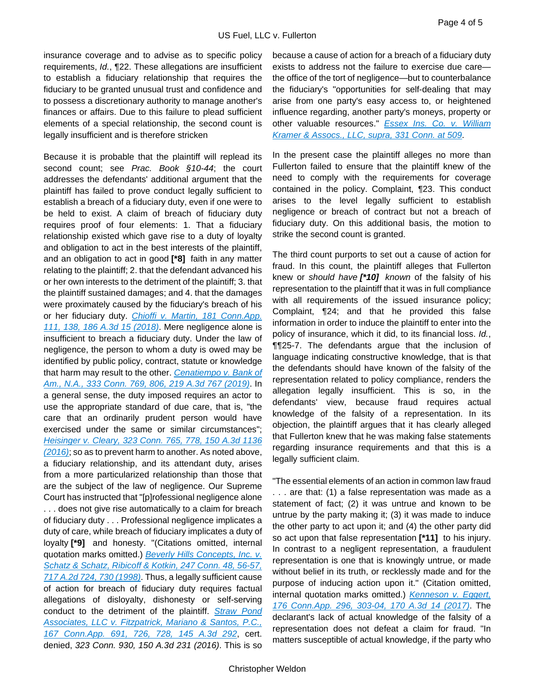insurance coverage and to advise as to specific policy requirements, *Id.*, ¶22. These allegations are insufficient to establish a fiduciary relationship that requires the fiduciary to be granted unusual trust and confidence and to possess a discretionary authority to manage another's finances or affairs. Due to this failure to plead sufficient elements of a special relationship, the second count is legally insufficient and is therefore stricken

Because it is probable that the plaintiff will replead its second count; see *Prac. Book §10-44*; the court addresses the defendants' additional argument that the plaintiff has failed to prove conduct legally sufficient to establish a breach of a fiduciary duty, even if one were to be held to exist. A claim of breach of fiduciary duty requires proof of four elements: 1. That a fiduciary relationship existed which gave rise to a duty of loyalty and obligation to act in the best interests of the plaintiff, and an obligation to act in good **[\*8]** faith in any matter relating to the plaintiff; 2. that the defendant advanced his or her own interests to the detriment of the plaintiff; 3. that the plaintiff sustained damages; and 4. that the damages were proximately caused by the fiduciary's breach of his or her fiduciary duty. *[Chioffi v. Martin, 181 Conn.App.](https://advance.lexis.com/api/document?collection=cases&id=urn:contentItem:5S46-TKX1-JFSV-G3X9-00000-00&context=1000516)  [111, 138, 186 A.3d 15 \(2018\)](https://advance.lexis.com/api/document?collection=cases&id=urn:contentItem:5S46-TKX1-JFSV-G3X9-00000-00&context=1000516)*. Mere negligence alone is insufficient to breach a fiduciary duty. Under the law of negligence, the person to whom a duty is owed may be identified by public policy, contract, statute or knowledge that harm may result to the other. *[Cenatiempo v. Bank of](https://advance.lexis.com/api/document?collection=cases&id=urn:contentItem:5XKV-6H41-JWBS-61PM-00000-00&context=1000516)  [Am., N.A., 333 Conn. 769, 806, 219 A.3d 767 \(2019\)](https://advance.lexis.com/api/document?collection=cases&id=urn:contentItem:5XKV-6H41-JWBS-61PM-00000-00&context=1000516)*. In a general sense, the duty imposed requires an actor to use the appropriate standard of due care, that is, "the care that an ordinarily prudent person would have exercised under the same or similar circumstances"; *[Heisinger v. Cleary, 323 Conn. 765, 778, 150 A.3d 1136](https://advance.lexis.com/api/document?collection=cases&id=urn:contentItem:5MD1-9HS1-F04C-503H-00000-00&context=1000516)  [\(2016\)](https://advance.lexis.com/api/document?collection=cases&id=urn:contentItem:5MD1-9HS1-F04C-503H-00000-00&context=1000516)*; so as to prevent harm to another. As noted above, a fiduciary relationship, and its attendant duty, arises from a more particularized relationship than those that are the subject of the law of negligence. Our Supreme Court has instructed that "[p]rofessional negligence alone . . . does not give rise automatically to a claim for breach of fiduciary duty . . . Professional negligence implicates a duty of care, while breach of fiduciary implicates a duty of loyalty **[\*9]** and honesty. "(Citations omitted, internal quotation marks omitted.) *[Beverly Hills Concepts, Inc. v.](https://advance.lexis.com/api/document?collection=cases&id=urn:contentItem:3TKD-TV50-0039-425B-00000-00&context=1000516)  [Schatz & Schatz, Ribicoff & Kotkin, 247 Conn. 48, 56-57,](https://advance.lexis.com/api/document?collection=cases&id=urn:contentItem:3TKD-TV50-0039-425B-00000-00&context=1000516)  [717 A.2d 724, 730 \(1998\)](https://advance.lexis.com/api/document?collection=cases&id=urn:contentItem:3TKD-TV50-0039-425B-00000-00&context=1000516)*. Thus, a legally sufficient cause of action for breach of fiduciary duty requires factual allegations of disloyalty, dishonesty or self-serving conduct to the detriment of the plaintiff. *[Straw Pond](https://advance.lexis.com/api/document?collection=cases&id=urn:contentItem:5KG6-P3C1-F04C-50DM-00000-00&context=1000516)  [Associates, LLC v. Fitzpatrick, Mariano & Santos, P.C.,](https://advance.lexis.com/api/document?collection=cases&id=urn:contentItem:5KG6-P3C1-F04C-50DM-00000-00&context=1000516)  [167 Conn.App. 691, 726, 728, 145 A.3d 292](https://advance.lexis.com/api/document?collection=cases&id=urn:contentItem:5KG6-P3C1-F04C-50DM-00000-00&context=1000516)*, cert. denied, *323 Conn. 930, 150 A.3d 231 (2016)*. This is so

because a cause of action for a breach of a fiduciary duty exists to address not the failure to exercise due care the office of the tort of negligence—but to counterbalance the fiduciary's "opportunities for self-dealing that may arise from one party's easy access to, or heightened influence regarding, another party's moneys, property or other valuable resources." *[Essex Ins. Co. v. William](https://advance.lexis.com/api/document?collection=cases&id=urn:contentItem:5VX1-C331-JGHR-M04Y-00000-00&context=1000516)  [Kramer & Assocs., LLC, supra, 331 Conn. at 509](https://advance.lexis.com/api/document?collection=cases&id=urn:contentItem:5VX1-C331-JGHR-M04Y-00000-00&context=1000516)*.

In the present case the plaintiff alleges no more than Fullerton failed to ensure that the plaintiff knew of the need to comply with the requirements for coverage contained in the policy. Complaint, ¶23. This conduct arises to the level legally sufficient to establish negligence or breach of contract but not a breach of fiduciary duty. On this additional basis, the motion to strike the second count is granted.

The third count purports to set out a cause of action for fraud. In this count, the plaintiff alleges that Fullerton knew or *should have [\*10] known* of the falsity of his representation to the plaintiff that it was in full compliance with all requirements of the issued insurance policy; Complaint, ¶24; and that he provided this false information in order to induce the plaintiff to enter into the policy of insurance, which it did, to its financial loss. *Id.*, ¶¶25-7. The defendants argue that the inclusion of language indicating constructive knowledge, that is that the defendants should have known of the falsity of the representation related to policy compliance, renders the allegation legally insufficient. This is so, in the defendants' view, because fraud requires actual knowledge of the falsity of a representation. In its objection, the plaintiff argues that it has clearly alleged that Fullerton knew that he was making false statements regarding insurance requirements and that this is a legally sufficient claim.

"The essential elements of an action in common law fraud . . . are that: (1) a false representation was made as a statement of fact; (2) it was untrue and known to be untrue by the party making it; (3) it was made to induce the other party to act upon it; and (4) the other party did so act upon that false representation **[\*11]** to his injury. In contrast to a negligent representation, a fraudulent representation is one that is knowingly untrue, or made without belief in its truth, or recklessly made and for the purpose of inducing action upon it." (Citation omitted, internal quotation marks omitted.) *[Kenneson v. Eggert,](https://advance.lexis.com/api/document?collection=cases&id=urn:contentItem:5PGD-Y5G1-F04C-5039-00000-00&context=1000516)  [176 Conn.App. 296, 303-04, 170 A.3d 14 \(2017\)](https://advance.lexis.com/api/document?collection=cases&id=urn:contentItem:5PGD-Y5G1-F04C-5039-00000-00&context=1000516)*. The declarant's lack of actual knowledge of the falsity of a representation does not defeat a claim for fraud. "In matters susceptible of actual knowledge, if the party who